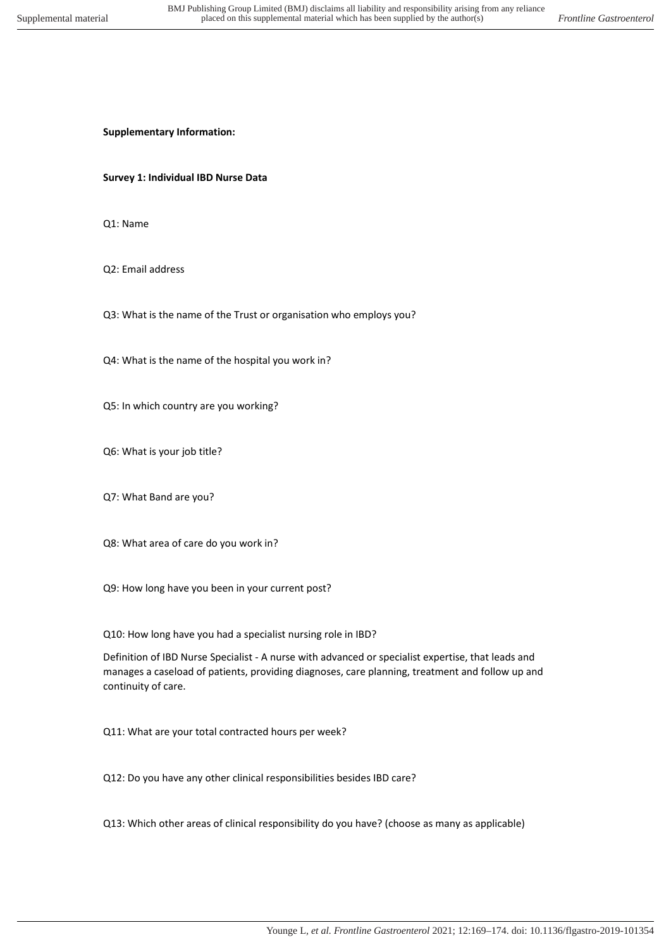**Supplementary Information:** 

**Survey 1: Individual IBD Nurse Data** 

Q1: Name

Q2: Email address

Q3: What is the name of the Trust or organisation who employs you?

Q4: What is the name of the hospital you work in?

Q5: In which country are you working?

Q6: What is your job title?

Q7: What Band are you?

Q8: What area of care do you work in?

Q9: How long have you been in your current post?

Q10: How long have you had a specialist nursing role in IBD?

Definition of IBD Nurse Specialist - A nurse with advanced or specialist expertise, that leads and manages a caseload of patients, providing diagnoses, care planning, treatment and follow up and continuity of care.

Q11: What are your total contracted hours per week?

Q12: Do you have any other clinical responsibilities besides IBD care?

Q13: Which other areas of clinical responsibility do you have? (choose as many as applicable)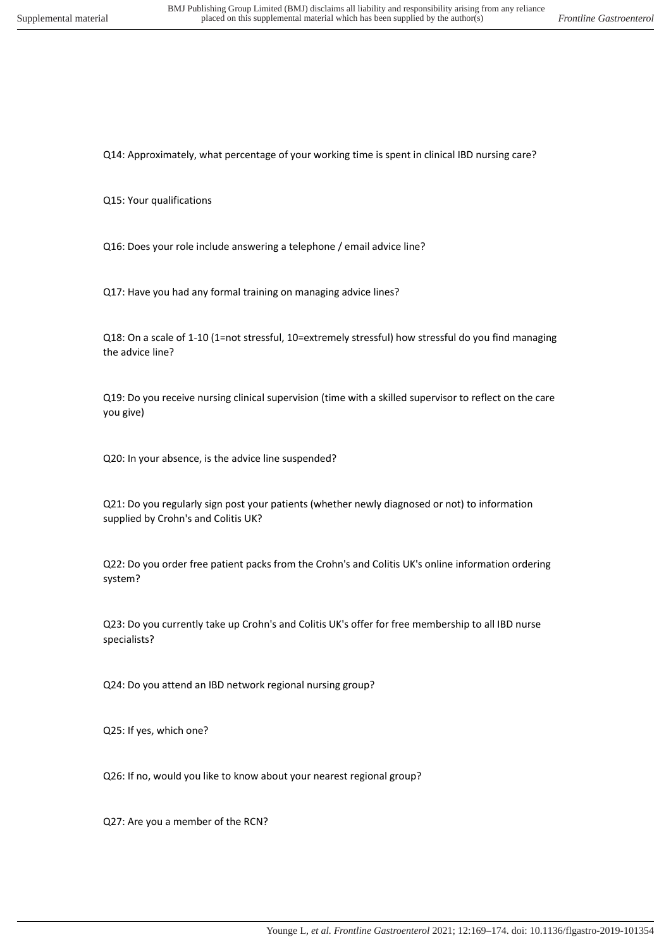Q14: Approximately, what percentage of your working time is spent in clinical IBD nursing care?

Q15: Your qualifications

Q16: Does your role include answering a telephone / email advice line?

Q17: Have you had any formal training on managing advice lines?

Q18: On a scale of 1-10 (1=not stressful, 10=extremely stressful) how stressful do you find managing the advice line?

Q19: Do you receive nursing clinical supervision (time with a skilled supervisor to reflect on the care you give)

Q20: In your absence, is the advice line suspended?

Q21: Do you regularly sign post your patients (whether newly diagnosed or not) to information supplied by Crohn's and Colitis UK?

Q22: Do you order free patient packs from the Crohn's and Colitis UK's online information ordering system?

Q23: Do you currently take up Crohn's and Colitis UK's offer for free membership to all IBD nurse specialists?

Q24: Do you attend an IBD network regional nursing group?

Q25: If yes, which one?

Q26: If no, would you like to know about your nearest regional group?

Q27: Are you a member of the RCN?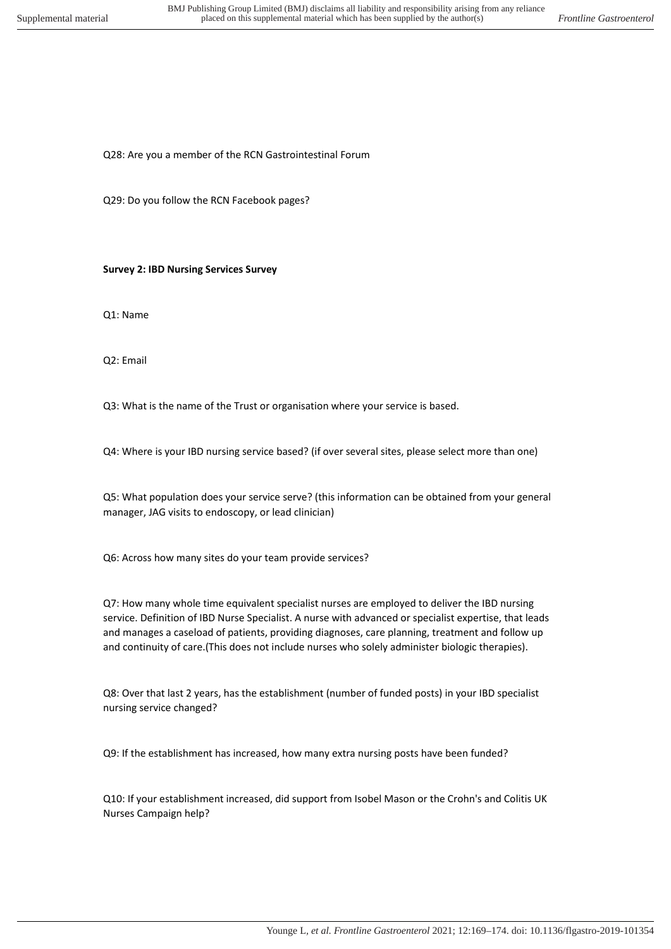Q28: Are you a member of the RCN Gastrointestinal Forum

Q29: Do you follow the RCN Facebook pages?

**Survey 2: IBD Nursing Services Survey** 

Q1: Name

Q2: Email

Q3: What is the name of the Trust or organisation where your service is based.

Q4: Where is your IBD nursing service based? (if over several sites, please select more than one)

Q5: What population does your service serve? (this information can be obtained from your general manager, JAG visits to endoscopy, or lead clinician)

Q6: Across how many sites do your team provide services?

Q7: How many whole time equivalent specialist nurses are employed to deliver the IBD nursing service. Definition of IBD Nurse Specialist. A nurse with advanced or specialist expertise, that leads and manages a caseload of patients, providing diagnoses, care planning, treatment and follow up and continuity of care.(This does not include nurses who solely administer biologic therapies).

Q8: Over that last 2 years, has the establishment (number of funded posts) in your IBD specialist nursing service changed?

Q9: If the establishment has increased, how many extra nursing posts have been funded?

Q10: If your establishment increased, did support from Isobel Mason or the Crohn's and Colitis UK Nurses Campaign help?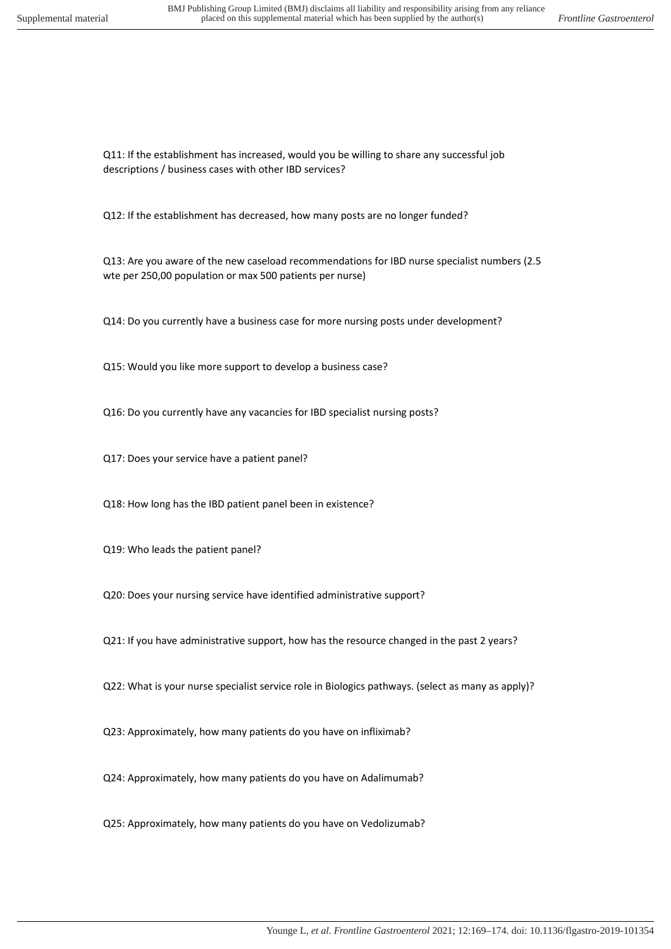Q11: If the establishment has increased, would you be willing to share any successful job descriptions / business cases with other IBD services?

Q12: If the establishment has decreased, how many posts are no longer funded?

Q13: Are you aware of the new caseload recommendations for IBD nurse specialist numbers (2.5 wte per 250,00 population or max 500 patients per nurse)

Q14: Do you currently have a business case for more nursing posts under development?

Q15: Would you like more support to develop a business case?

Q16: Do you currently have any vacancies for IBD specialist nursing posts?

Q17: Does your service have a patient panel?

Q18: How long has the IBD patient panel been in existence?

Q19: Who leads the patient panel?

Q20: Does your nursing service have identified administrative support?

Q21: If you have administrative support, how has the resource changed in the past 2 years?

Q22: What is your nurse specialist service role in Biologics pathways. (select as many as apply)?

Q23: Approximately, how many patients do you have on infliximab?

Q24: Approximately, how many patients do you have on Adalimumab?

Q25: Approximately, how many patients do you have on Vedolizumab?